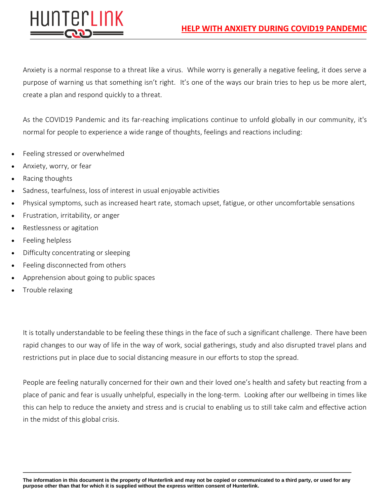

Anxiety is a normal response to a threat like a virus. While worry is generally a negative feeling, it does serve a purpose of warning us that something isn't right. It's one of the ways our brain tries to hep us be more alert, create a plan and respond quickly to a threat.

As the COVID19 Pandemic and its far-reaching implications continue to unfold globally in our community, it's normal for people to experience a wide range of thoughts, feelings and reactions including:

- Feeling stressed or overwhelmed
- Anxiety, worry, or fear
- Racing thoughts
- Sadness, tearfulness, loss of interest in usual enjoyable activities
- Physical symptoms, such as increased heart rate, stomach upset, fatigue, or other uncomfortable sensations
- Frustration, irritability, or anger
- Restlessness or agitation
- Feeling helpless
- Difficulty concentrating or sleeping
- Feeling disconnected from others
- Apprehension about going to public spaces
- Trouble relaxing

It is totally understandable to be feeling these things in the face of such a significant challenge. There have been rapid changes to our way of life in the way of work, social gatherings, study and also disrupted travel plans and restrictions put in place due to social distancing measure in our efforts to stop the spread.

People are feeling naturally concerned for their own and their loved one's health and safety but reacting from a place of panic and fear is usually unhelpful, especially in the long-term. Looking after our wellbeing in times like this can help to reduce the anxiety and stress and is crucial to enabling us to still take calm and effective action in the midst of this global crisis.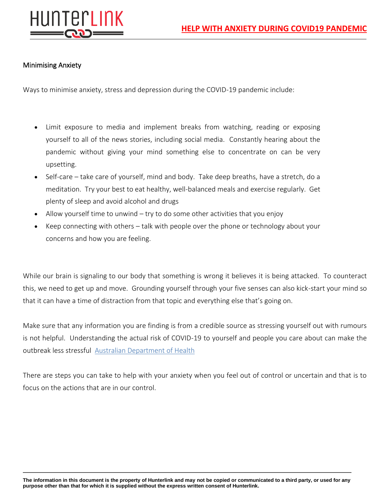

# Minimising Anxiety

Ways to minimise anxiety, stress and depression during the COVID-19 pandemic include:

- Limit exposure to media and implement breaks from watching, reading or exposing yourself to all of the news stories, including social media. Constantly hearing about the pandemic without giving your mind something else to concentrate on can be very upsetting.
- Self-care take care of yourself, mind and body. Take deep breaths, have a stretch, do a meditation. Try your best to eat healthy, well-balanced meals and exercise regularly. Get plenty of sleep and avoid alcohol and drugs
- Allow yourself time to unwind try to do some other activities that you enjoy
- Keep connecting with others talk with people over the phone or technology about your concerns and how you are feeling.

While our brain is signaling to our body that something is wrong it believes it is being attacked. To counteract this, we need to get up and move. Grounding yourself through your five senses can also kick-start your mind so that it can have a time of distraction from that topic and everything else that's going on.

Make sure that any information you are finding is from a credible source as stressing yourself out with rumours is not helpful. Understanding the actual risk of COVID-19 to yourself and people you care about can make the outbreak less stressful [Australian Department of Health](https://www.health.gov.au/news/health-alerts/novel-coronavirus-2019-ncov-health-alert)

There are steps you can take to help with your anxiety when you feel out of control or uncertain and that is to focus on the actions that are in our control.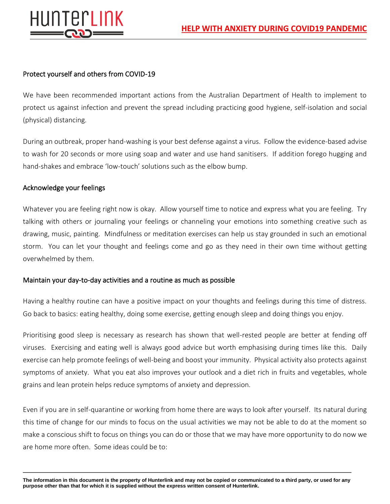

### Protect yourself and others from COVID-19

We have been recommended important actions from the Australian Department of Health to implement to protect us against infection and prevent the spread including practicing good hygiene, self-isolation and social (physical) distancing.

During an outbreak, proper hand-washing is your best defense against a virus. Follow the evidence-based advise to wash for 20 seconds or more using soap and water and use hand sanitisers. If addition forego hugging and hand-shakes and embrace 'low-touch' solutions such as the elbow bump.

#### Acknowledge your feelings

Whatever you are feeling right now is okay. Allow yourself time to notice and express what you are feeling. Try talking with others or journaling your feelings or channeling your emotions into something creative such as drawing, music, painting. Mindfulness or meditation exercises can help us stay grounded in such an emotional storm. You can let your thought and feelings come and go as they need in their own time without getting overwhelmed by them.

#### Maintain your day-to-day activities and a routine as much as possible

Having a healthy routine can have a positive impact on your thoughts and feelings during this time of distress. Go back to basics: eating healthy, doing some exercise, getting enough sleep and doing things you enjoy.

Prioritising good sleep is necessary as research has shown that well-rested people are better at fending off viruses. Exercising and eating well is always good advice but worth emphasising during times like this. Daily exercise can help promote feelings of well-being and boost your immunity. Physical activity also protects against symptoms of anxiety. What you eat also improves your outlook and a diet rich in fruits and vegetables, whole grains and lean protein helps reduce symptoms of anxiety and depression.

Even if you are in self-quarantine or working from home there are ways to look after yourself. Its natural during this time of change for our minds to focus on the usual activities we may not be able to do at the moment so make a conscious shift to focus on things you can do or those that we may have more opportunity to do now we are home more often. Some ideas could be to: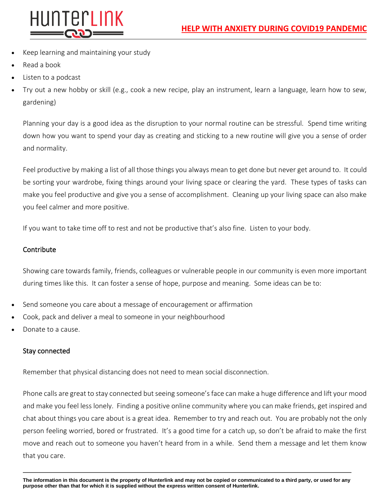

- Keep learning and maintaining your study
- Read a book
- Listen to a podcast
- Try out a new hobby or skill (e.g., cook a new recipe, play an instrument, learn a language, learn how to sew, gardening)

Planning your day is a good idea as the disruption to your normal routine can be stressful. Spend time writing down how you want to spend your day as creating and sticking to a new routine will give you a sense of order and normality.

Feel productive by making a list of all those things you always mean to get done but never get around to. It could be sorting your wardrobe, fixing things around your living space or clearing the yard. These types of tasks can make you feel productive and give you a sense of accomplishment. Cleaning up your living space can also make you feel calmer and more positive.

If you want to take time off to rest and not be productive that's also fine. Listen to your body.

### **Contribute**

Showing care towards family, friends, colleagues or vulnerable people in our community is even more important during times like this. It can foster a sense of hope, purpose and meaning. Some ideas can be to:

- Send someone you care about a message of encouragement or affirmation
- Cook, pack and deliver a meal to someone in your neighbourhood
- Donate to a cause.

## Stay connected

Remember that physical distancing does not need to mean social disconnection.

Phone calls are great to stay connected but seeing someone's face can make a huge difference and lift your mood and make you feel less lonely. Finding a positive online community where you can make friends, get inspired and chat about things you care about is a great idea. Remember to try and reach out. You are probably not the only person feeling worried, bored or frustrated. It's a good time for a catch up, so don't be afraid to make the first move and reach out to someone you haven't heard from in a while. Send them a message and let them know that you care.